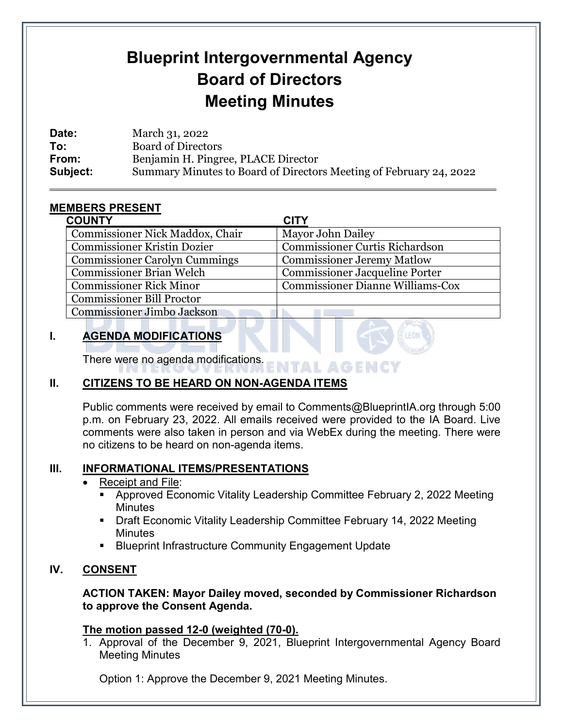# **Blueprint Intergovernmental Agency Board of Directors Meeting Minutes**

**Date:** March 31, 2022 **To:** Board of Directors **From:** Benjamin H. Pingree, PLACE Director **Subject:** Summary Minutes to Board of Directors Meeting of February 24, 2022

# **MEMBERS PRESENT**

 $\overline{a}$ 

| <b>COUNTY</b>                        | <b>CITY</b>                             |
|--------------------------------------|-----------------------------------------|
| Commissioner Nick Maddox, Chair      | Mayor John Dailey                       |
| <b>Commissioner Kristin Dozier</b>   | <b>Commissioner Curtis Richardson</b>   |
| <b>Commissioner Carolyn Cummings</b> | <b>Commissioner Jeremy Matlow</b>       |
| <b>Commissioner Brian Welch</b>      | <b>Commissioner Jacqueline Porter</b>   |
| <b>Commissioner Rick Minor</b>       | <b>Commissioner Dianne Williams-Cox</b> |
| <b>Commissioner Bill Proctor</b>     |                                         |
| Commissioner Jimbo Jackson           |                                         |

# **I. AGENDA MODIFICATIONS**

There were no agenda modifications. ENTAL AGENCY

# **II. CITIZENS TO BE HEARD ON NON-AGENDA ITEMS**

Public comments were received by email to Comments@BlueprintIA.org through 5:00 p.m. on February 23, 2022. All emails received were provided to the IA Board. Live comments were also taken in person and via WebEx during the meeting. There were no citizens to be heard on non-agenda items.

## **III. INFORMATIONAL ITEMS/PRESENTATIONS**

#### • [Receipt and File:](file://bp2k-fileserver/IA%20Board%20&%20Committees/IA/IA%20Agenda%20Items/2022/02-24-2022/For%20Publication/Receipt%20&%20File/Info_Receipt+File%2002%2024%202022.pdf)

- Approved Economic Vitality Leadership Committee February 2, 2022 Meeting **Minutes**
- Draft Economic Vitality Leadership Committee February 14, 2022 Meeting **Minutes**
- **Blueprint Infrastructure Community Engagement Update**

## **IV. CONSENT**

#### **ACTION TAKEN: Mayor Dailey moved, seconded by Commissioner Richardson to approve the Consent Agenda.**

#### **The motion passed 12-0 (weighted (70-0).**

1. Approval of the December 9, 2021, Blueprint Intergovernmental Agency Board Meeting Minutes

Option 1: Approve the December 9, 2021 Meeting Minutes.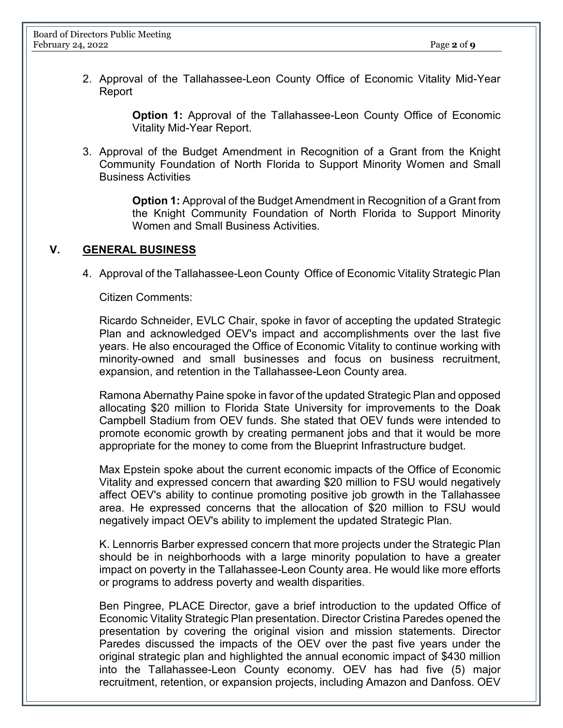2. Approval of the Tallahassee-Leon County Office of Economic Vitality Mid-Year Report

> **Option 1:** Approval of the Tallahassee-Leon County Office of Economic Vitality Mid-Year Report.

3. Approval of the Budget Amendment in Recognition of a Grant from the Knight Community Foundation of North Florida to Support Minority Women and Small Business Activities

> **Option 1:** Approval of the Budget Amendment in Recognition of a Grant from the Knight Community Foundation of North Florida to Support Minority Women and Small Business Activities.

#### **V. GENERAL BUSINESS**

4. Approval of the Tallahassee-Leon County Office of Economic Vitality Strategic Plan

Citizen Comments:

Ricardo Schneider, EVLC Chair, spoke in favor of accepting the updated Strategic Plan and acknowledged OEV's impact and accomplishments over the last five years. He also encouraged the Office of Economic Vitality to continue working with minority-owned and small businesses and focus on business recruitment, expansion, and retention in the Tallahassee-Leon County area.

Ramona Abernathy Paine spoke in favor of the updated Strategic Plan and opposed allocating \$20 million to Florida State University for improvements to the Doak Campbell Stadium from OEV funds. She stated that OEV funds were intended to promote economic growth by creating permanent jobs and that it would be more appropriate for the money to come from the Blueprint Infrastructure budget.

Max Epstein spoke about the current economic impacts of the Office of Economic Vitality and expressed concern that awarding \$20 million to FSU would negatively affect OEV's ability to continue promoting positive job growth in the Tallahassee area. He expressed concerns that the allocation of \$20 million to FSU would negatively impact OEV's ability to implement the updated Strategic Plan.

K. Lennorris Barber expressed concern that more projects under the Strategic Plan should be in neighborhoods with a large minority population to have a greater impact on poverty in the Tallahassee-Leon County area. He would like more efforts or programs to address poverty and wealth disparities.

Ben Pingree, PLACE Director, gave a brief introduction to the updated Office of Economic Vitality Strategic Plan presentation. Director Cristina Paredes opened the presentation by covering the original vision and mission statements. Director Paredes discussed the impacts of the OEV over the past five years under the original strategic plan and highlighted the annual economic impact of \$430 million into the Tallahassee-Leon County economy. OEV has had five (5) major recruitment, retention, or expansion projects, including Amazon and Danfoss. OEV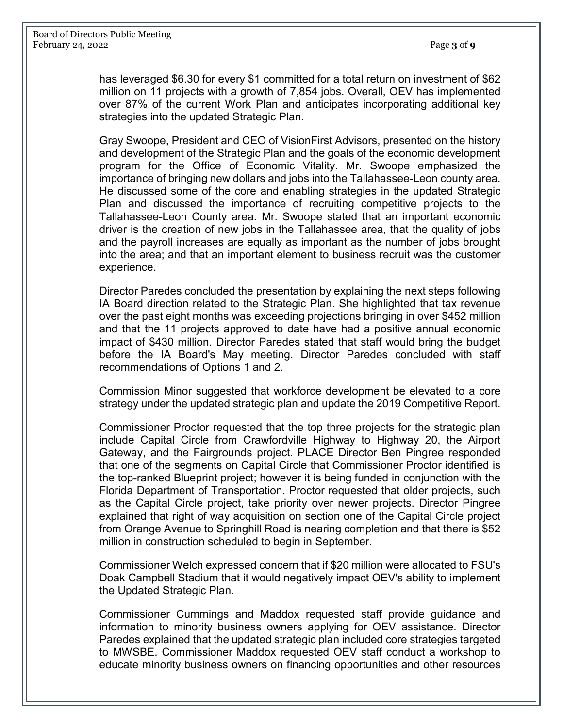has leveraged \$6.30 for every \$1 committed for a total return on investment of \$62 million on 11 projects with a growth of 7,854 jobs. Overall, OEV has implemented over 87% of the current Work Plan and anticipates incorporating additional key strategies into the updated Strategic Plan.

Gray Swoope, President and CEO of VisionFirst Advisors, presented on the history and development of the Strategic Plan and the goals of the economic development program for the Office of Economic Vitality. Mr. Swoope emphasized the importance of bringing new dollars and jobs into the Tallahassee-Leon county area. He discussed some of the core and enabling strategies in the updated Strategic Plan and discussed the importance of recruiting competitive projects to the Tallahassee-Leon County area. Mr. Swoope stated that an important economic driver is the creation of new jobs in the Tallahassee area, that the quality of jobs and the payroll increases are equally as important as the number of jobs brought into the area; and that an important element to business recruit was the customer experience.

Director Paredes concluded the presentation by explaining the next steps following IA Board direction related to the Strategic Plan. She highlighted that tax revenue over the past eight months was exceeding projections bringing in over \$452 million and that the 11 projects approved to date have had a positive annual economic impact of \$430 million. Director Paredes stated that staff would bring the budget before the IA Board's May meeting. Director Paredes concluded with staff recommendations of Options 1 and 2.

Commission Minor suggested that workforce development be elevated to a core strategy under the updated strategic plan and update the 2019 Competitive Report.

Commissioner Proctor requested that the top three projects for the strategic plan include Capital Circle from Crawfordville Highway to Highway 20, the Airport Gateway, and the Fairgrounds project. PLACE Director Ben Pingree responded that one of the segments on Capital Circle that Commissioner Proctor identified is the top-ranked Blueprint project; however it is being funded in conjunction with the Florida Department of Transportation. Proctor requested that older projects, such as the Capital Circle project, take priority over newer projects. Director Pingree explained that right of way acquisition on section one of the Capital Circle project from Orange Avenue to Springhill Road is nearing completion and that there is \$52 million in construction scheduled to begin in September.

Commissioner Welch expressed concern that if \$20 million were allocated to FSU's Doak Campbell Stadium that it would negatively impact OEV's ability to implement the Updated Strategic Plan.

Commissioner Cummings and Maddox requested staff provide guidance and information to minority business owners applying for OEV assistance. Director Paredes explained that the updated strategic plan included core strategies targeted to MWSBE. Commissioner Maddox requested OEV staff conduct a workshop to educate minority business owners on financing opportunities and other resources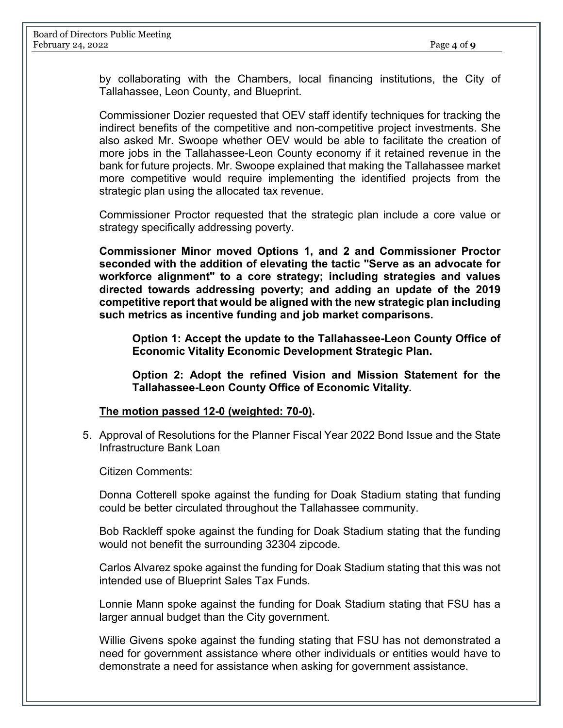by collaborating with the Chambers, local financing institutions, the City of Tallahassee, Leon County, and Blueprint.

Commissioner Dozier requested that OEV staff identify techniques for tracking the indirect benefits of the competitive and non-competitive project investments. She also asked Mr. Swoope whether OEV would be able to facilitate the creation of more jobs in the Tallahassee-Leon County economy if it retained revenue in the bank for future projects. Mr. Swoope explained that making the Tallahassee market more competitive would require implementing the identified projects from the strategic plan using the allocated tax revenue.

Commissioner Proctor requested that the strategic plan include a core value or strategy specifically addressing poverty.

**Commissioner Minor moved Options 1, and 2 and Commissioner Proctor seconded with the addition of elevating the tactic "Serve as an advocate for workforce alignment" to a core strategy; including strategies and values directed towards addressing poverty; and adding an update of the 2019 competitive report that would be aligned with the new strategic plan including such metrics as incentive funding and job market comparisons.** 

**Option 1: Accept the update to the Tallahassee-Leon County Office of Economic Vitality Economic Development Strategic Plan.**

**Option 2: Adopt the refined Vision and Mission Statement for the Tallahassee-Leon County Office of Economic Vitality.**

#### **The motion passed 12-0 (weighted: 70-0).**

5. Approval of Resolutions for the Planner Fiscal Year 2022 Bond Issue and the State Infrastructure Bank Loan

Citizen Comments:

Donna Cotterell spoke against the funding for Doak Stadium stating that funding could be better circulated throughout the Tallahassee community.

Bob Rackleff spoke against the funding for Doak Stadium stating that the funding would not benefit the surrounding 32304 zipcode.

Carlos Alvarez spoke against the funding for Doak Stadium stating that this was not intended use of Blueprint Sales Tax Funds.

Lonnie Mann spoke against the funding for Doak Stadium stating that FSU has a larger annual budget than the City government.

Willie Givens spoke against the funding stating that FSU has not demonstrated a need for government assistance where other individuals or entities would have to demonstrate a need for assistance when asking for government assistance.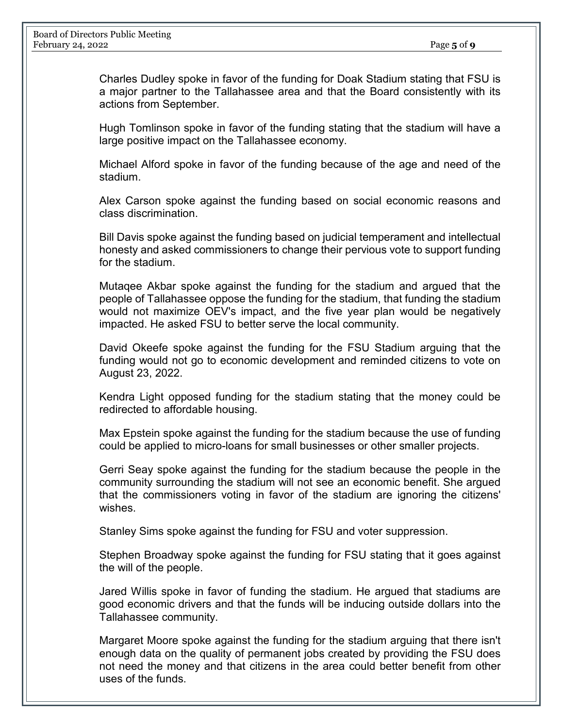Charles Dudley spoke in favor of the funding for Doak Stadium stating that FSU is a major partner to the Tallahassee area and that the Board consistently with its actions from September.

Hugh Tomlinson spoke in favor of the funding stating that the stadium will have a large positive impact on the Tallahassee economy.

Michael Alford spoke in favor of the funding because of the age and need of the stadium.

Alex Carson spoke against the funding based on social economic reasons and class discrimination.

Bill Davis spoke against the funding based on judicial temperament and intellectual honesty and asked commissioners to change their pervious vote to support funding for the stadium.

Mutaqee Akbar spoke against the funding for the stadium and argued that the people of Tallahassee oppose the funding for the stadium, that funding the stadium would not maximize OEV's impact, and the five year plan would be negatively impacted. He asked FSU to better serve the local community.

David Okeefe spoke against the funding for the FSU Stadium arguing that the funding would not go to economic development and reminded citizens to vote on August 23, 2022.

Kendra Light opposed funding for the stadium stating that the money could be redirected to affordable housing.

Max Epstein spoke against the funding for the stadium because the use of funding could be applied to micro-loans for small businesses or other smaller projects.

Gerri Seay spoke against the funding for the stadium because the people in the community surrounding the stadium will not see an economic benefit. She argued that the commissioners voting in favor of the stadium are ignoring the citizens' wishes.

Stanley Sims spoke against the funding for FSU and voter suppression.

Stephen Broadway spoke against the funding for FSU stating that it goes against the will of the people.

Jared Willis spoke in favor of funding the stadium. He argued that stadiums are good economic drivers and that the funds will be inducing outside dollars into the Tallahassee community.

Margaret Moore spoke against the funding for the stadium arguing that there isn't enough data on the quality of permanent jobs created by providing the FSU does not need the money and that citizens in the area could better benefit from other uses of the funds.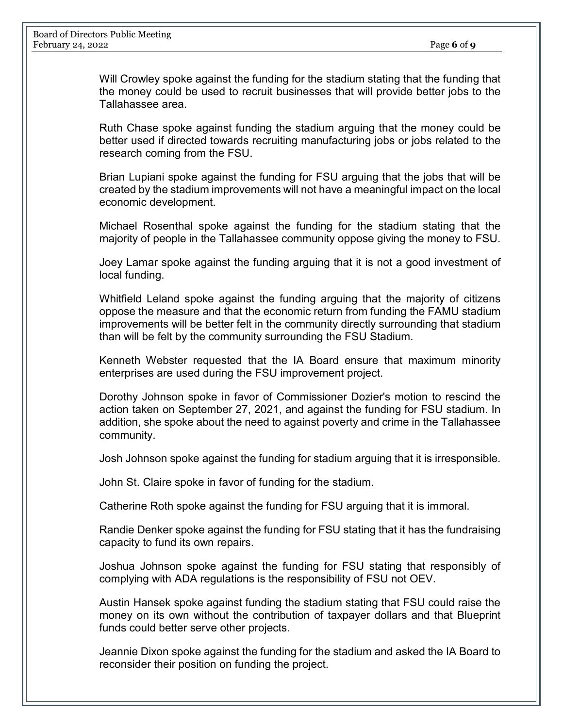Will Crowley spoke against the funding for the stadium stating that the funding that the money could be used to recruit businesses that will provide better jobs to the Tallahassee area.

Ruth Chase spoke against funding the stadium arguing that the money could be better used if directed towards recruiting manufacturing jobs or jobs related to the research coming from the FSU.

Brian Lupiani spoke against the funding for FSU arguing that the jobs that will be created by the stadium improvements will not have a meaningful impact on the local economic development.

Michael Rosenthal spoke against the funding for the stadium stating that the majority of people in the Tallahassee community oppose giving the money to FSU.

Joey Lamar spoke against the funding arguing that it is not a good investment of local funding.

Whitfield Leland spoke against the funding arguing that the majority of citizens oppose the measure and that the economic return from funding the FAMU stadium improvements will be better felt in the community directly surrounding that stadium than will be felt by the community surrounding the FSU Stadium.

Kenneth Webster requested that the IA Board ensure that maximum minority enterprises are used during the FSU improvement project.

Dorothy Johnson spoke in favor of Commissioner Dozier's motion to rescind the action taken on September 27, 2021, and against the funding for FSU stadium. In addition, she spoke about the need to against poverty and crime in the Tallahassee community.

Josh Johnson spoke against the funding for stadium arguing that it is irresponsible.

John St. Claire spoke in favor of funding for the stadium.

Catherine Roth spoke against the funding for FSU arguing that it is immoral.

Randie Denker spoke against the funding for FSU stating that it has the fundraising capacity to fund its own repairs.

Joshua Johnson spoke against the funding for FSU stating that responsibly of complying with ADA regulations is the responsibility of FSU not OEV.

Austin Hansek spoke against funding the stadium stating that FSU could raise the money on its own without the contribution of taxpayer dollars and that Blueprint funds could better serve other projects.

Jeannie Dixon spoke against the funding for the stadium and asked the IA Board to reconsider their position on funding the project.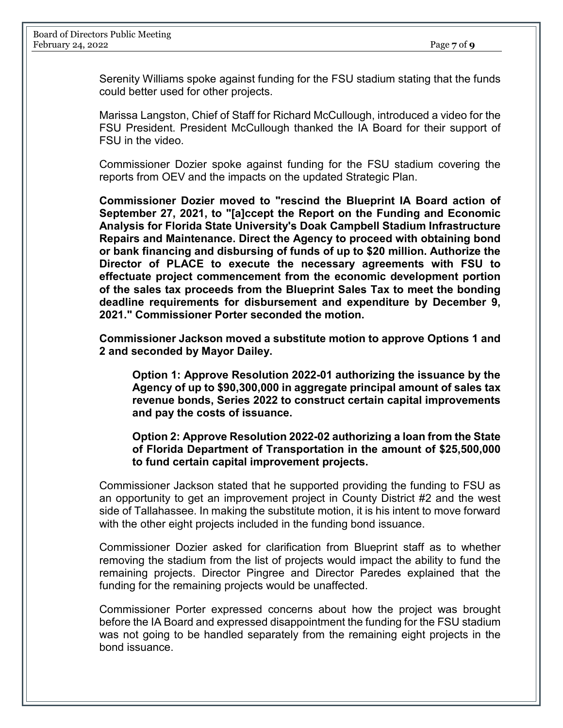Serenity Williams spoke against funding for the FSU stadium stating that the funds could better used for other projects.

Marissa Langston, Chief of Staff for Richard McCullough, introduced a video for the FSU President. President McCullough thanked the IA Board for their support of FSU in the video.

Commissioner Dozier spoke against funding for the FSU stadium covering the reports from OEV and the impacts on the updated Strategic Plan.

**Commissioner Dozier moved to "rescind the Blueprint IA Board action of September 27, 2021, to "[a]ccept the Report on the Funding and Economic Analysis for Florida State University's Doak Campbell Stadium Infrastructure Repairs and Maintenance. Direct the Agency to proceed with obtaining bond or bank financing and disbursing of funds of up to \$20 million. Authorize the Director of PLACE to execute the necessary agreements with FSU to effectuate project commencement from the economic development portion of the sales tax proceeds from the Blueprint Sales Tax to meet the bonding deadline requirements for disbursement and expenditure by December 9, 2021." Commissioner Porter seconded the motion.**

**Commissioner Jackson moved a substitute motion to approve Options 1 and 2 and seconded by Mayor Dailey.** 

**Option 1: Approve Resolution 2022-01 authorizing the issuance by the Agency of up to \$90,300,000 in aggregate principal amount of sales tax revenue bonds, Series 2022 to construct certain capital improvements and pay the costs of issuance.**

#### **Option 2: Approve Resolution 2022-02 authorizing a loan from the State of Florida Department of Transportation in the amount of \$25,500,000 to fund certain capital improvement projects.**

Commissioner Jackson stated that he supported providing the funding to FSU as an opportunity to get an improvement project in County District #2 and the west side of Tallahassee. In making the substitute motion, it is his intent to move forward with the other eight projects included in the funding bond issuance.

Commissioner Dozier asked for clarification from Blueprint staff as to whether removing the stadium from the list of projects would impact the ability to fund the remaining projects. Director Pingree and Director Paredes explained that the funding for the remaining projects would be unaffected.

Commissioner Porter expressed concerns about how the project was brought before the IA Board and expressed disappointment the funding for the FSU stadium was not going to be handled separately from the remaining eight projects in the bond issuance.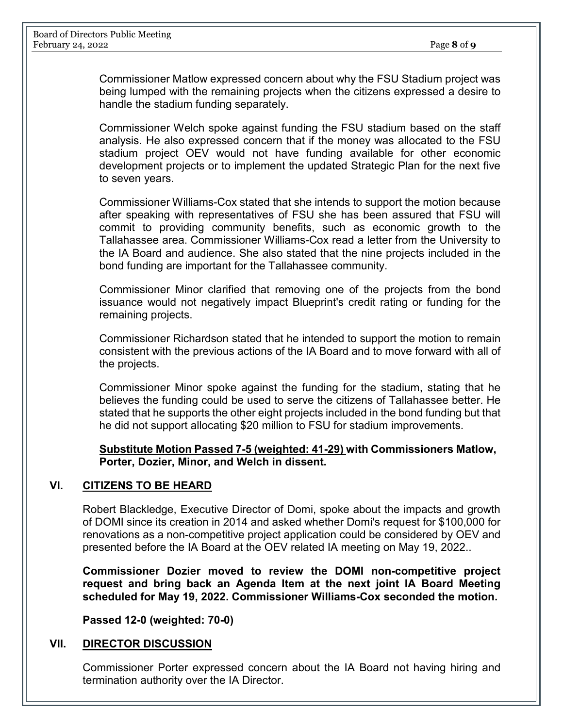Commissioner Matlow expressed concern about why the FSU Stadium project was being lumped with the remaining projects when the citizens expressed a desire to handle the stadium funding separately.

Commissioner Welch spoke against funding the FSU stadium based on the staff analysis. He also expressed concern that if the money was allocated to the FSU stadium project OEV would not have funding available for other economic development projects or to implement the updated Strategic Plan for the next five to seven years.

Commissioner Williams-Cox stated that she intends to support the motion because after speaking with representatives of FSU she has been assured that FSU will commit to providing community benefits, such as economic growth to the Tallahassee area. Commissioner Williams-Cox read a letter from the University to the IA Board and audience. She also stated that the nine projects included in the bond funding are important for the Tallahassee community.

Commissioner Minor clarified that removing one of the projects from the bond issuance would not negatively impact Blueprint's credit rating or funding for the remaining projects.

Commissioner Richardson stated that he intended to support the motion to remain consistent with the previous actions of the IA Board and to move forward with all of the projects.

Commissioner Minor spoke against the funding for the stadium, stating that he believes the funding could be used to serve the citizens of Tallahassee better. He stated that he supports the other eight projects included in the bond funding but that he did not support allocating \$20 million to FSU for stadium improvements.

**Substitute Motion Passed 7-5 (weighted: 41-29) with Commissioners Matlow, Porter, Dozier, Minor, and Welch in dissent.** 

#### **VI. CITIZENS TO BE HEARD**

Robert Blackledge, Executive Director of Domi, spoke about the impacts and growth of DOMI since its creation in 2014 and asked whether Domi's request for \$100,000 for renovations as a non-competitive project application could be considered by OEV and presented before the IA Board at the OEV related IA meeting on May 19, 2022..

**Commissioner Dozier moved to review the DOMI non-competitive project request and bring back an Agenda Item at the next joint IA Board Meeting scheduled for May 19, 2022. Commissioner Williams-Cox seconded the motion.** 

**Passed 12-0 (weighted: 70-0)**

#### **VII. DIRECTOR DISCUSSION**

Commissioner Porter expressed concern about the IA Board not having hiring and termination authority over the IA Director.